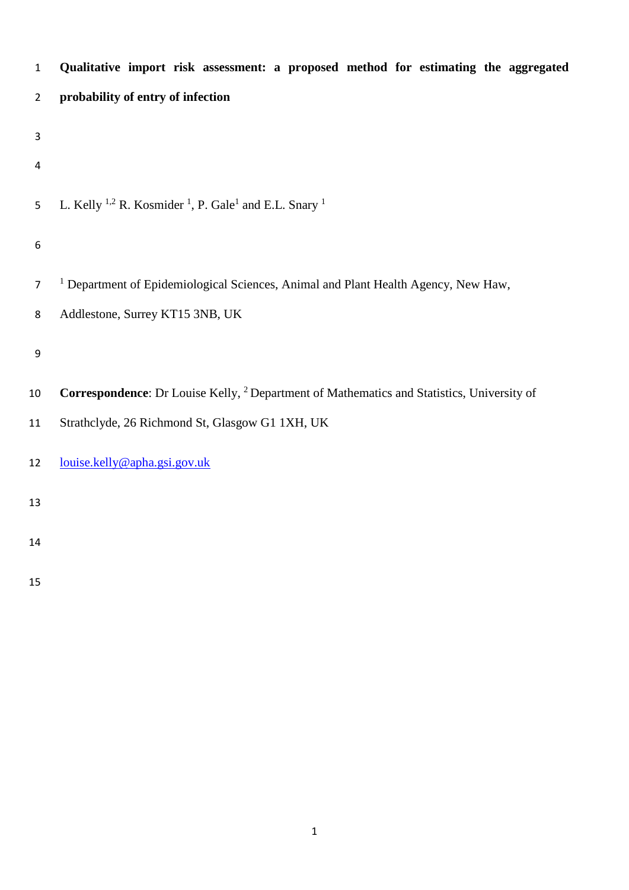| $\mathbf 1$             | Qualitative import risk assessment: a proposed method for estimating the aggregated                   |
|-------------------------|-------------------------------------------------------------------------------------------------------|
| $\overline{2}$          | probability of entry of infection                                                                     |
| 3                       |                                                                                                       |
| $\overline{\mathbf{r}}$ |                                                                                                       |
| 5                       | L. Kelly <sup>1,2</sup> R. Kosmider <sup>1</sup> , P. Gale <sup>1</sup> and E.L. Snary <sup>1</sup>   |
| 6                       |                                                                                                       |
| $\overline{7}$          | <sup>1</sup> Department of Epidemiological Sciences, Animal and Plant Health Agency, New Haw,         |
| 8                       | Addlestone, Surrey KT15 3NB, UK                                                                       |
| 9                       |                                                                                                       |
| 10                      | Correspondence: Dr Louise Kelly, <sup>2</sup> Department of Mathematics and Statistics, University of |
| 11                      | Strathclyde, 26 Richmond St, Glasgow G1 1XH, UK                                                       |
| 12                      | louise.kelly@apha.gsi.gov.uk                                                                          |
| 13                      |                                                                                                       |
| 14                      |                                                                                                       |
| 15                      |                                                                                                       |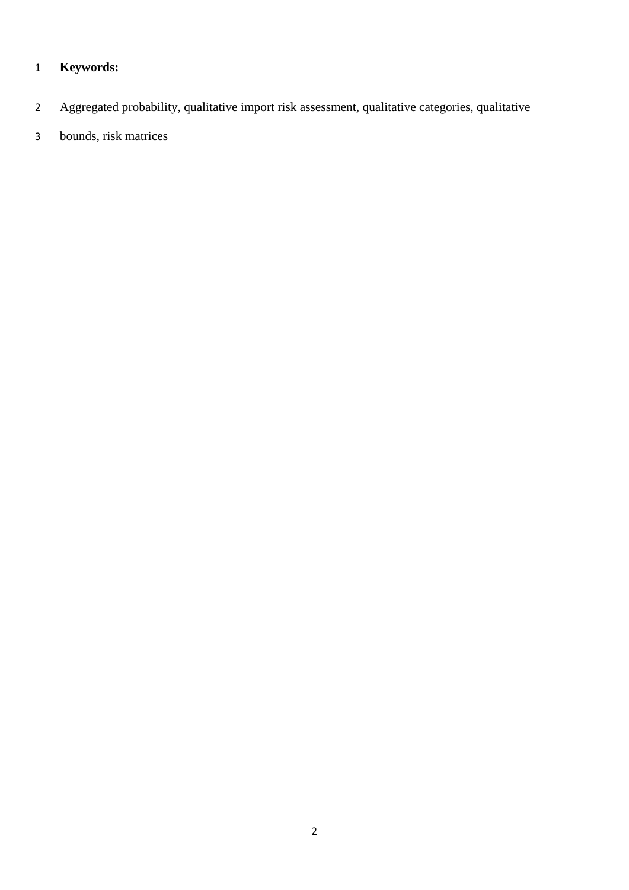# **Keywords:**

- Aggregated probability, qualitative import risk assessment, qualitative categories, qualitative
- bounds, risk matrices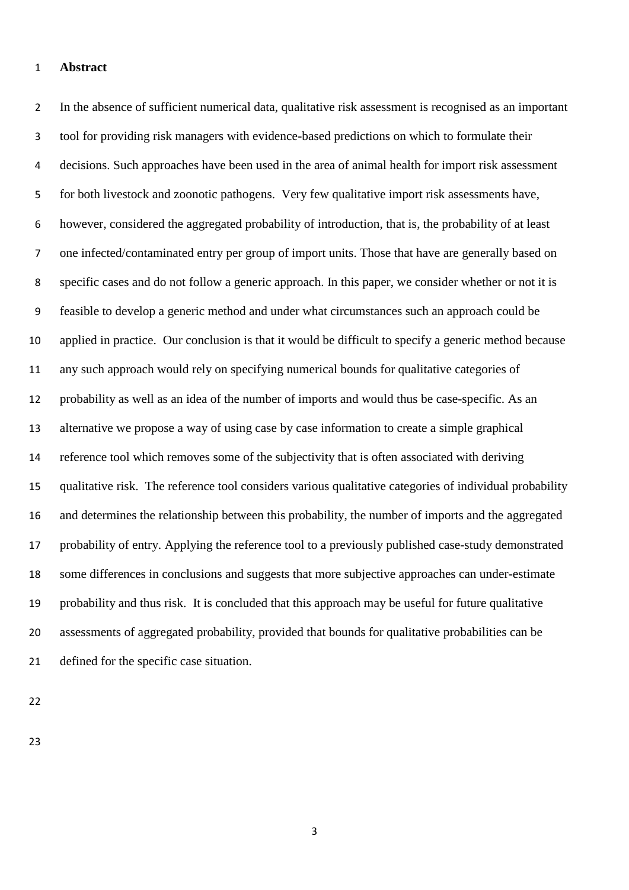### **Abstract**

 In the absence of sufficient numerical data, qualitative risk assessment is recognised as an important tool for providing risk managers with evidence-based predictions on which to formulate their decisions. Such approaches have been used in the area of animal health for import risk assessment for both livestock and zoonotic pathogens. Very few qualitative import risk assessments have, however, considered the aggregated probability of introduction, that is, the probability of at least one infected/contaminated entry per group of import units. Those that have are generally based on specific cases and do not follow a generic approach. In this paper, we consider whether or not it is feasible to develop a generic method and under what circumstances such an approach could be applied in practice. Our conclusion is that it would be difficult to specify a generic method because any such approach would rely on specifying numerical bounds for qualitative categories of probability as well as an idea of the number of imports and would thus be case-specific. As an alternative we propose a way of using case by case information to create a simple graphical reference tool which removes some of the subjectivity that is often associated with deriving qualitative risk. The reference tool considers various qualitative categories of individual probability and determines the relationship between this probability, the number of imports and the aggregated probability of entry. Applying the reference tool to a previously published case-study demonstrated some differences in conclusions and suggests that more subjective approaches can under-estimate probability and thus risk. It is concluded that this approach may be useful for future qualitative assessments of aggregated probability, provided that bounds for qualitative probabilities can be defined for the specific case situation.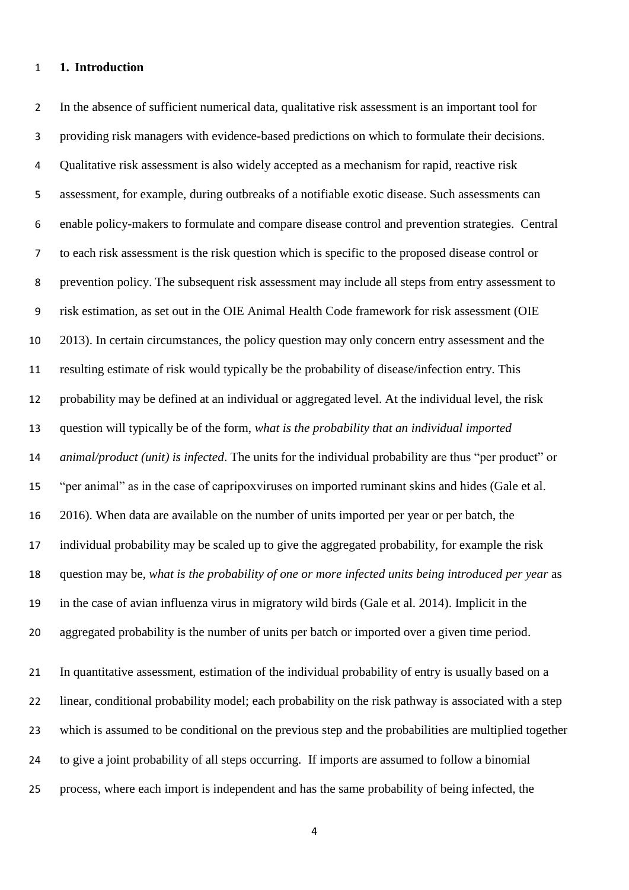### **1. Introduction**

 In the absence of sufficient numerical data, qualitative risk assessment is an important tool for providing risk managers with evidence-based predictions on which to formulate their decisions. Qualitative risk assessment is also widely accepted as a mechanism for rapid, reactive risk assessment, for example, during outbreaks of a notifiable exotic disease. Such assessments can enable policy-makers to formulate and compare disease control and prevention strategies. Central to each risk assessment is the risk question which is specific to the proposed disease control or prevention policy. The subsequent risk assessment may include all steps from entry assessment to risk estimation, as set out in the OIE Animal Health Code framework for risk assessment (OIE 2013). In certain circumstances, the policy question may only concern entry assessment and the resulting estimate of risk would typically be the probability of disease/infection entry. This probability may be defined at an individual or aggregated level. At the individual level, the risk question will typically be of the form, *what is the probability that an individual imported animal/product (unit) is infected*. The units for the individual probability are thus "per product" or "per animal" as in the case of capripoxviruses on imported ruminant skins and hides (Gale et al. 2016). When data are available on the number of units imported per year or per batch, the individual probability may be scaled up to give the aggregated probability, for example the risk question may be, *what is the probability of one or more infected units being introduced per year* as in the case of avian influenza virus in migratory wild birds (Gale et al. 2014). Implicit in the aggregated probability is the number of units per batch or imported over a given time period. In quantitative assessment, estimation of the individual probability of entry is usually based on a linear, conditional probability model; each probability on the risk pathway is associated with a step

 to give a joint probability of all steps occurring. If imports are assumed to follow a binomial process, where each import is independent and has the same probability of being infected, the

which is assumed to be conditional on the previous step and the probabilities are multiplied together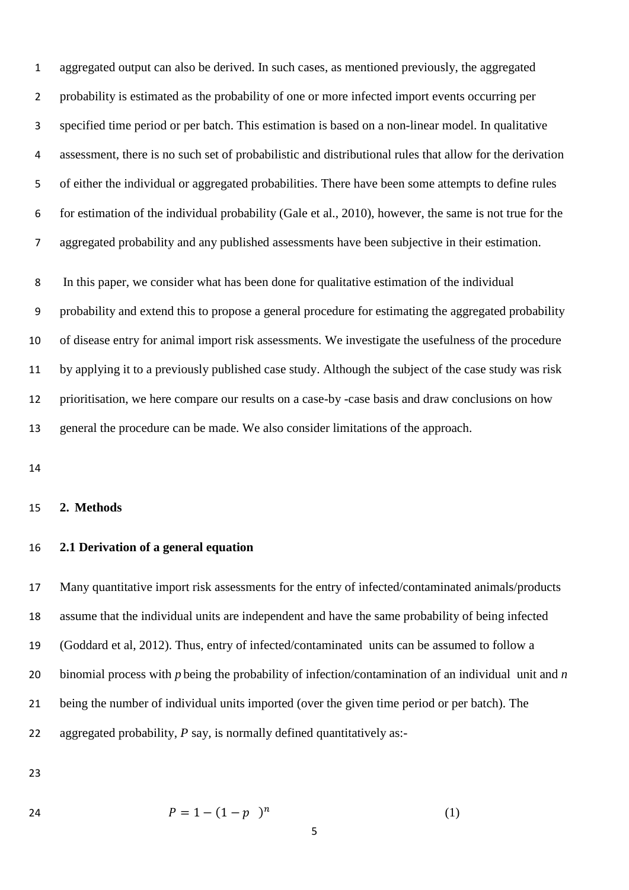aggregated output can also be derived. In such cases, as mentioned previously, the aggregated probability is estimated as the probability of one or more infected import events occurring per specified time period or per batch. This estimation is based on a non-linear model. In qualitative assessment, there is no such set of probabilistic and distributional rules that allow for the derivation of either the individual or aggregated probabilities. There have been some attempts to define rules for estimation of the individual probability (Gale et al., 2010), however, the same is not true for the aggregated probability and any published assessments have been subjective in their estimation.

 In this paper, we consider what has been done for qualitative estimation of the individual probability and extend this to propose a general procedure for estimating the aggregated probability of disease entry for animal import risk assessments. We investigate the usefulness of the procedure by applying it to a previously published case study. Although the subject of the case study was risk prioritisation, we here compare our results on a case-by -case basis and draw conclusions on how general the procedure can be made. We also consider limitations of the approach.

#### **2. Methods**

## **2.1 Derivation of a general equation**

 Many quantitative import risk assessments for the entry of infected/contaminated animals/products assume that the individual units are independent and have the same probability of being infected (Goddard et al, 2012). Thus, entry of infected/contaminated units can be assumed to follow a binomial process with *p* being the probability of infection/contamination of an individual unit and *n* being the number of individual units imported (over the given time period or per batch). The aggregated probability, *P* say*,* is normally defined quantitatively as:-

$$
4\quad
$$

$$
P = 1 - (1 - p)^n \tag{1}
$$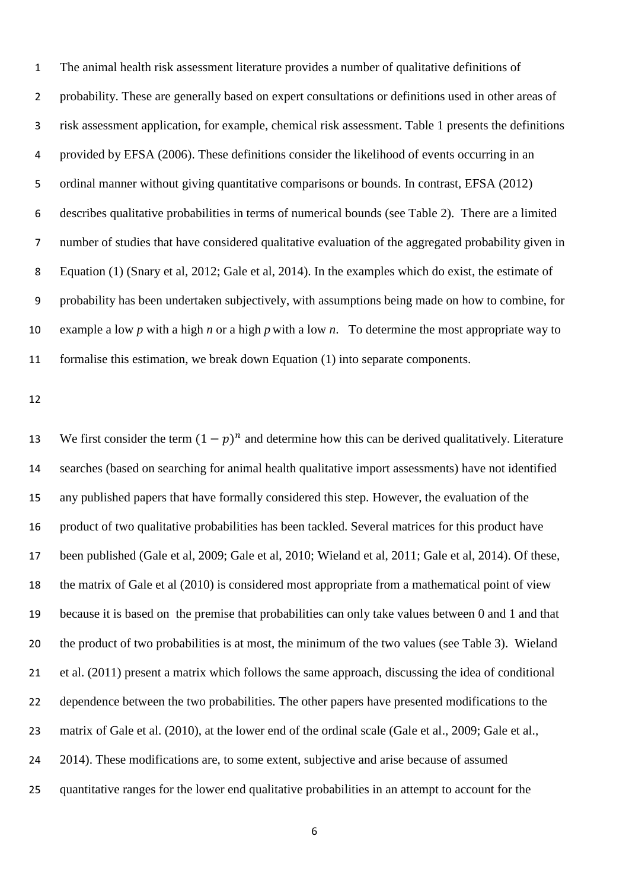The animal health risk assessment literature provides a number of qualitative definitions of probability. These are generally based on expert consultations or definitions used in other areas of risk assessment application, for example, chemical risk assessment. Table 1 presents the definitions provided by EFSA (2006). These definitions consider the likelihood of events occurring in an ordinal manner without giving quantitative comparisons or bounds. In contrast, EFSA (2012) describes qualitative probabilities in terms of numerical bounds (see Table 2). There are a limited number of studies that have considered qualitative evaluation of the aggregated probability given in Equation (1) (Snary et al, 2012; Gale et al, 2014). In the examples which do exist, the estimate of probability has been undertaken subjectively, with assumptions being made on how to combine, for example a low *p* with a high *n* or a high *p* with a low *n*. To determine the most appropriate way to formalise this estimation, we break down Equation (1) into separate components.

13 We first consider the term  $(1 - p)^n$  and determine how this can be derived qualitatively. Literature searches (based on searching for animal health qualitative import assessments) have not identified any published papers that have formally considered this step. However, the evaluation of the product of two qualitative probabilities has been tackled. Several matrices for this product have been published (Gale et al, 2009; Gale et al, 2010; Wieland et al, 2011; Gale et al, 2014). Of these, the matrix of Gale et al (2010) is considered most appropriate from a mathematical point of view because it is based on the premise that probabilities can only take values between 0 and 1 and that the product of two probabilities is at most, the minimum of the two values (see Table 3). Wieland et al. (2011) present a matrix which follows the same approach, discussing the idea of conditional dependence between the two probabilities. The other papers have presented modifications to the matrix of Gale et al. (2010), at the lower end of the ordinal scale (Gale et al., 2009; Gale et al., 2014). These modifications are, to some extent, subjective and arise because of assumed quantitative ranges for the lower end qualitative probabilities in an attempt to account for the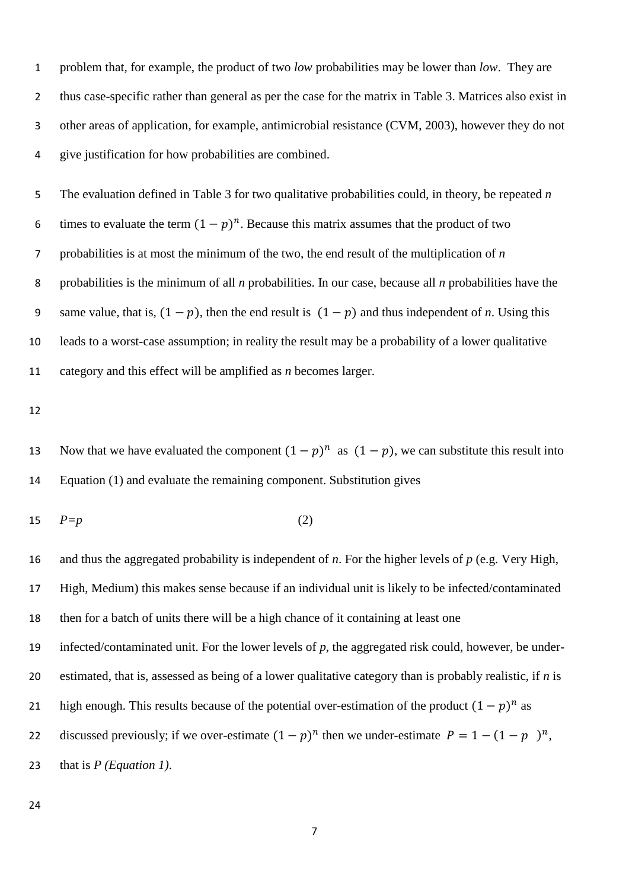problem that, for example, the product of two *low* probabilities may be lower than *low*. They are thus case-specific rather than general as per the case for the matrix in Table 3. Matrices also exist in other areas of application, for example, antimicrobial resistance (CVM, 2003), however they do not give justification for how probabilities are combined.

 The evaluation defined in Table 3 for two qualitative probabilities could, in theory, be repeated *n* 6 times to evaluate the term  $(1 - p)^n$ . Because this matrix assumes that the product of two probabilities is at most the minimum of the two, the end result of the multiplication of *n* probabilities is the minimum of all *n* probabilities. In our case, because all *n* probabilities have the 9 same value, that is,  $(1 - p)$ , then the end result is  $(1 - p)$  and thus independent of *n*. Using this leads to a worst-case assumption; in reality the result may be a probability of a lower qualitative category and this effect will be amplified as *n* becomes larger.

13 Now that we have evaluated the component  $(1 - p)^n$  as  $(1 - p)$ , we can substitute this result into Equation (1) and evaluate the remaining component. Substitution gives

$$
15 \t P=p \t(2)
$$

and thus the aggregated probability is independent of *n*. For the higher levels of *p* (e.g. Very High,

High, Medium) this makes sense because if an individual unit is likely to be infected/contaminated

then for a batch of units there will be a high chance of it containing at least one

 infected/contaminated unit. For the lower levels of *p*, the aggregated risk could, however, be under-estimated, that is, assessed as being of a lower qualitative category than is probably realistic, if *n* is

21 high enough. This results because of the potential over-estimation of the product  $(1 - p)^n$  as

22 discussed previously; if we over-estimate  $(1-p)^n$  then we under-estimate  $P = 1 - (1-p)^n$ ,

that is *P (Equation 1)*.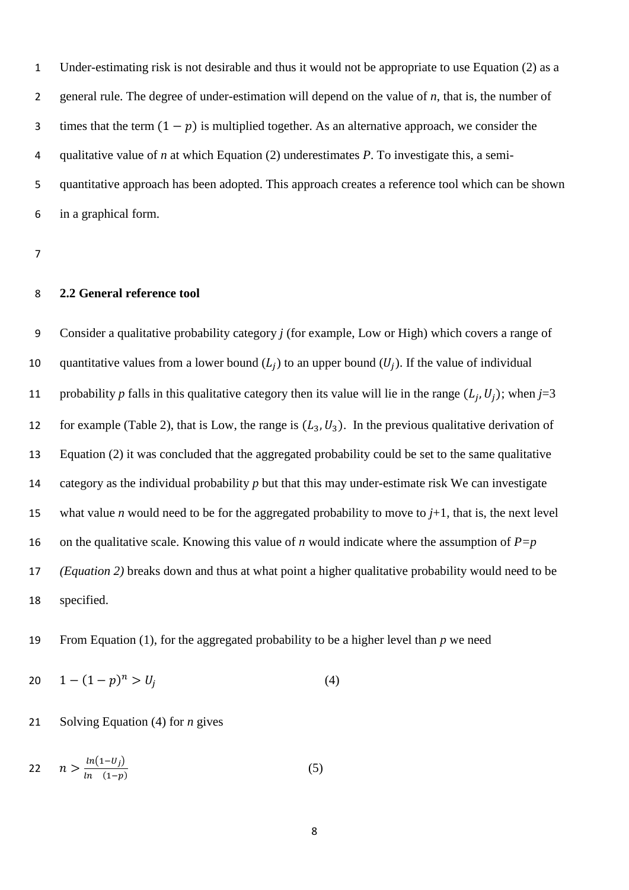Under-estimating risk is not desirable and thus it would not be appropriate to use Equation (2) as a general rule. The degree of under-estimation will depend on the value of *n*, that is, the number of 3 times that the term  $(1 - p)$  is multiplied together. As an alternative approach, we consider the qualitative value of *n* at which Equation (2) underestimates *P*. To investigate this, a semi- quantitative approach has been adopted. This approach creates a reference tool which can be shown in a graphical form.

7

## 8 **2.2 General reference tool**

9 Consider a qualitative probability category *j* (for example, Low or High) which covers a range of 10 quantitative values from a lower bound  $(L_j)$  to an upper bound  $(U_j)$ . If the value of individual 11 probability *p* falls in this qualitative category then its value will lie in the range  $(L_i, U_i)$ ; when  $j=3$ 12 for example (Table 2), that is Low, the range is  $(L_3, U_3)$ . In the previous qualitative derivation of 13 Equation (2) it was concluded that the aggregated probability could be set to the same qualitative 14 category as the individual probability *p* but that this may under-estimate risk We can investigate 15 what value *n* would need to be for the aggregated probability to move to  $j+1$ , that is, the next level 16 on the qualitative scale. Knowing this value of *n* would indicate where the assumption of  $P=p$ 17 *(Equation 2)* breaks down and thus at what point a higher qualitative probability would need to be 18 specified.

19 From Equation (1), for the aggregated probability to be a higher level than *p* we need

20  $1 - (1 - p)^n > U_j$  (4)

21 Solving Equation (4) for *n* gives

22 
$$
n > \frac{\ln(1-U_j)}{\ln(1-p)}
$$
 (5)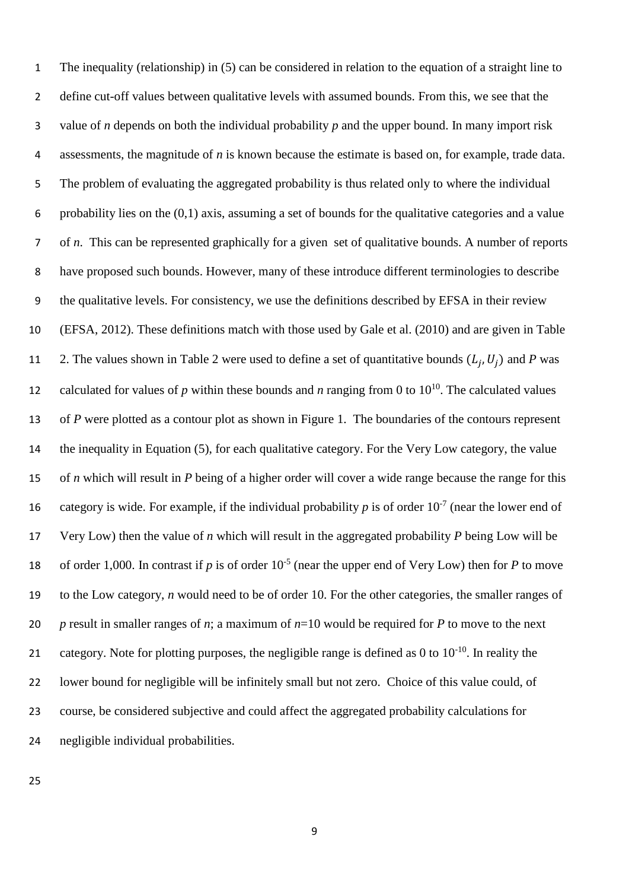The inequality (relationship) in (5) can be considered in relation to the equation of a straight line to define cut-off values between qualitative levels with assumed bounds. From this, we see that the value of *n* depends on both the individual probability *p* and the upper bound. In many import risk assessments, the magnitude of *n* is known because the estimate is based on, for example, trade data. The problem of evaluating the aggregated probability is thus related only to where the individual 6 probability lies on the  $(0,1)$  axis, assuming a set of bounds for the qualitative categories and a value of *n*. This can be represented graphically for a given set of qualitative bounds. A number of reports have proposed such bounds. However, many of these introduce different terminologies to describe the qualitative levels. For consistency, we use the definitions described by EFSA in their review (EFSA, 2012). These definitions match with those used by Gale et al. (2010) and are given in Table 2. The values shown in Table 2 were used to define a set of quantitative bounds  $(L_i, U_i)$  and *P* was 12 calculated for values of *p* within these bounds and *n* ranging from 0 to  $10^{10}$ . The calculated values of *P* were plotted as a contour plot as shown in Figure 1. The boundaries of the contours represent the inequality in Equation (5), for each qualitative category. For the Very Low category, the value of *n* which will result in *P* being of a higher order will cover a wide range because the range for this 16 category is wide. For example, if the individual probability  $p$  is of order  $10^{-7}$  (near the lower end of Very Low) then the value of *n* which will result in the aggregated probability *P* being Low will be 18 of order 1,000. In contrast if  $p$  is of order  $10^{-5}$  (near the upper end of Very Low) then for  $P$  to move to the Low category, *n* would need to be of order 10. For the other categories, the smaller ranges of *p* result in smaller ranges of *n*; a maximum of *n*=10 would be required for *P* to move to the next 21 category. Note for plotting purposes, the negligible range is defined as 0 to  $10^{-10}$ . In reality the lower bound for negligible will be infinitely small but not zero. Choice of this value could, of course, be considered subjective and could affect the aggregated probability calculations for negligible individual probabilities.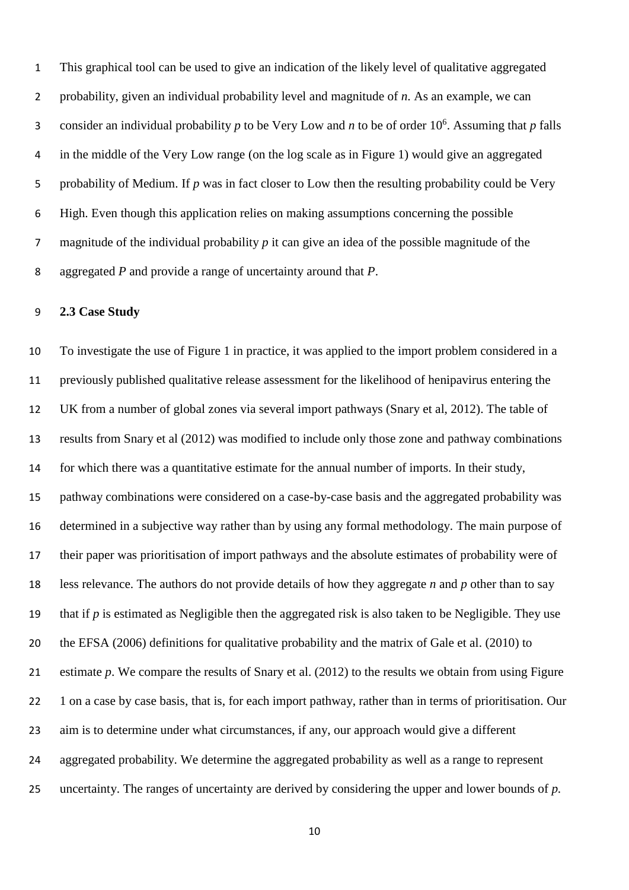This graphical tool can be used to give an indication of the likely level of qualitative aggregated probability, given an individual probability level and magnitude of *n*. As an example, we can consider an individual probability  $p$  to be Very Low and  $n$  to be of order 10<sup>6</sup>. Assuming that  $p$  falls in the middle of the Very Low range (on the log scale as in Figure 1) would give an aggregated probability of Medium. If *p* was in fact closer to Low then the resulting probability could be Very High. Even though this application relies on making assumptions concerning the possible magnitude of the individual probability *p* it can give an idea of the possible magnitude of the aggregated *P* and provide a range of uncertainty around that *P*.

## **2.3 Case Study**

 To investigate the use of Figure 1 in practice, it was applied to the import problem considered in a previously published qualitative release assessment for the likelihood of henipavirus entering the UK from a number of global zones via several import pathways (Snary et al, 2012). The table of results from Snary et al (2012) was modified to include only those zone and pathway combinations for which there was a quantitative estimate for the annual number of imports. In their study, pathway combinations were considered on a case-by-case basis and the aggregated probability was determined in a subjective way rather than by using any formal methodology. The main purpose of their paper was prioritisation of import pathways and the absolute estimates of probability were of less relevance. The authors do not provide details of how they aggregate *n* and *p* other than to say that if *p* is estimated as Negligible then the aggregated risk is also taken to be Negligible. They use the EFSA (2006) definitions for qualitative probability and the matrix of Gale et al. (2010) to estimate *p*. We compare the results of Snary et al. (2012) to the results we obtain from using Figure 22 1 on a case by case basis, that is, for each import pathway, rather than in terms of prioritisation. Our aim is to determine under what circumstances, if any, our approach would give a different aggregated probability. We determine the aggregated probability as well as a range to represent uncertainty. The ranges of uncertainty are derived by considering the upper and lower bounds of *p.*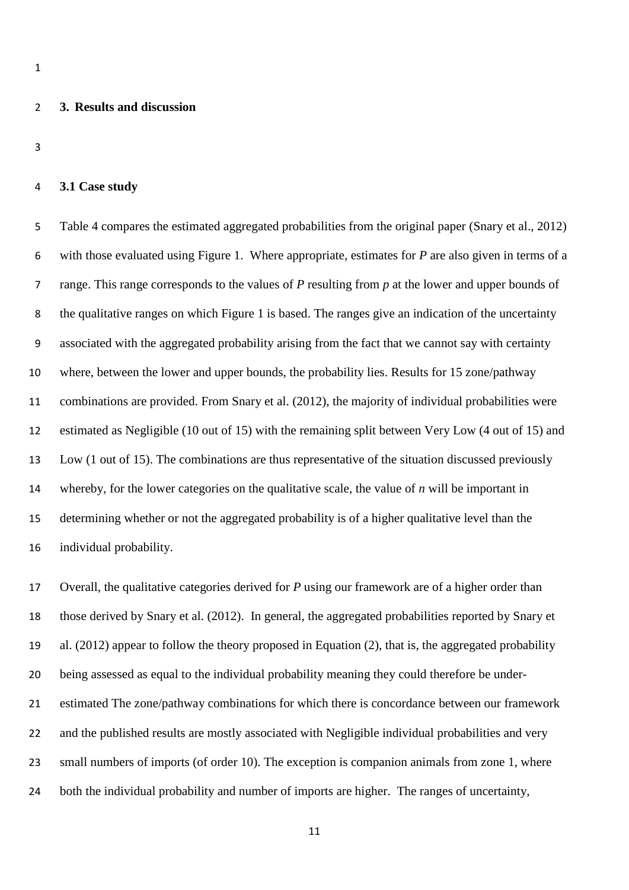#### **3. Results and discussion**

### **3.1 Case study**

 Table 4 compares the estimated aggregated probabilities from the original paper (Snary et al., 2012) with those evaluated using Figure 1. Where appropriate, estimates for *P* are also given in terms of a range. This range corresponds to the values of *P* resulting from *p* at the lower and upper bounds of the qualitative ranges on which Figure 1 is based. The ranges give an indication of the uncertainty associated with the aggregated probability arising from the fact that we cannot say with certainty where, between the lower and upper bounds, the probability lies. Results for 15 zone/pathway combinations are provided. From Snary et al. (2012), the majority of individual probabilities were estimated as Negligible (10 out of 15) with the remaining split between Very Low (4 out of 15) and Low (1 out of 15). The combinations are thus representative of the situation discussed previously whereby, for the lower categories on the qualitative scale, the value of *n* will be important in determining whether or not the aggregated probability is of a higher qualitative level than the individual probability.

 Overall, the qualitative categories derived for *P* using our framework are of a higher order than those derived by Snary et al. (2012). In general, the aggregated probabilities reported by Snary et al. (2012) appear to follow the theory proposed in Equation (2), that is, the aggregated probability being assessed as equal to the individual probability meaning they could therefore be under- estimated The zone/pathway combinations for which there is concordance between our framework 22 and the published results are mostly associated with Negligible individual probabilities and very small numbers of imports (of order 10). The exception is companion animals from zone 1, where both the individual probability and number of imports are higher. The ranges of uncertainty,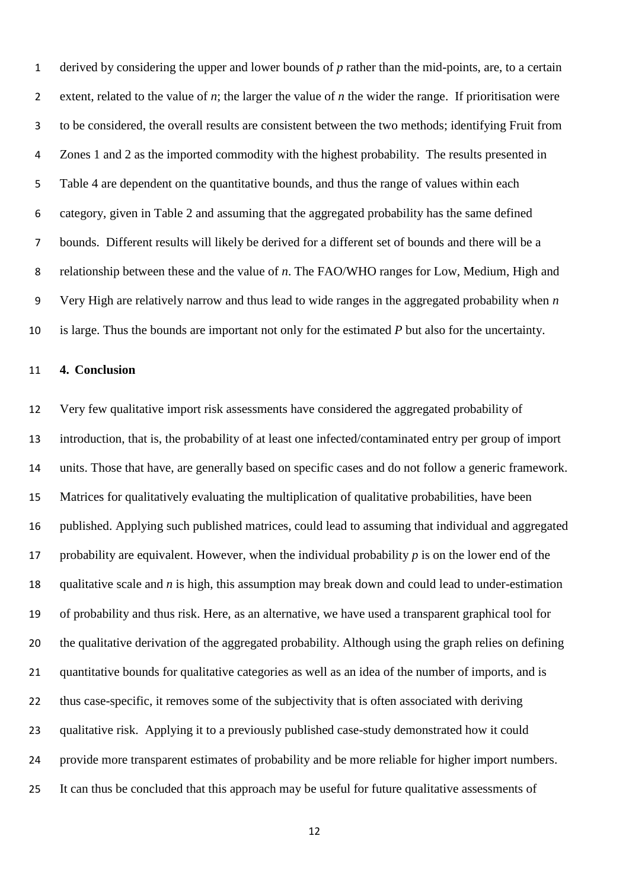derived by considering the upper and lower bounds of *p* rather than the mid-points, are, to a certain extent, related to the value of *n*; the larger the value of *n* the wider the range. If prioritisation were to be considered, the overall results are consistent between the two methods; identifying Fruit from Zones 1 and 2 as the imported commodity with the highest probability. The results presented in Table 4 are dependent on the quantitative bounds, and thus the range of values within each category, given in Table 2 and assuming that the aggregated probability has the same defined bounds. Different results will likely be derived for a different set of bounds and there will be a relationship between these and the value of *n*. The FAO/WHO ranges for Low, Medium, High and Very High are relatively narrow and thus lead to wide ranges in the aggregated probability when *n* is large. Thus the bounds are important not only for the estimated *P* but also for the uncertainty.

## **4. Conclusion**

 Very few qualitative import risk assessments have considered the aggregated probability of introduction, that is, the probability of at least one infected/contaminated entry per group of import units. Those that have, are generally based on specific cases and do not follow a generic framework. Matrices for qualitatively evaluating the multiplication of qualitative probabilities, have been published. Applying such published matrices, could lead to assuming that individual and aggregated 17 probability are equivalent. However, when the individual probability  $p$  is on the lower end of the qualitative scale and *n* is high, this assumption may break down and could lead to under-estimation of probability and thus risk. Here, as an alternative, we have used a transparent graphical tool for the qualitative derivation of the aggregated probability. Although using the graph relies on defining quantitative bounds for qualitative categories as well as an idea of the number of imports, and is thus case-specific, it removes some of the subjectivity that is often associated with deriving qualitative risk. Applying it to a previously published case-study demonstrated how it could provide more transparent estimates of probability and be more reliable for higher import numbers. It can thus be concluded that this approach may be useful for future qualitative assessments of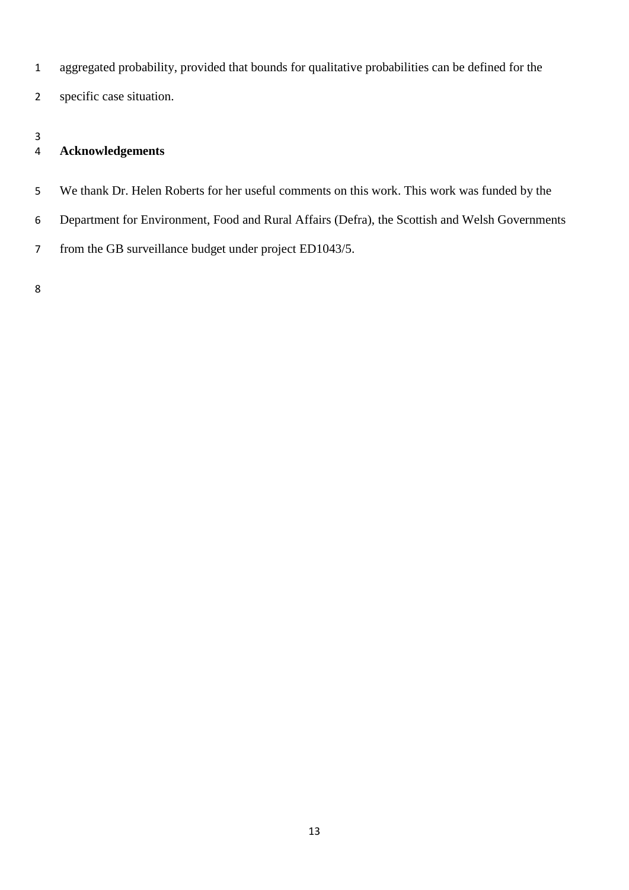- aggregated probability, provided that bounds for qualitative probabilities can be defined for the
- specific case situation.

## **Acknowledgements**

- We thank Dr. Helen Roberts for her useful comments on this work. This work was funded by the
- Department for Environment, Food and Rural Affairs (Defra), the Scottish and Welsh Governments
- from the GB surveillance budget under project ED1043/5.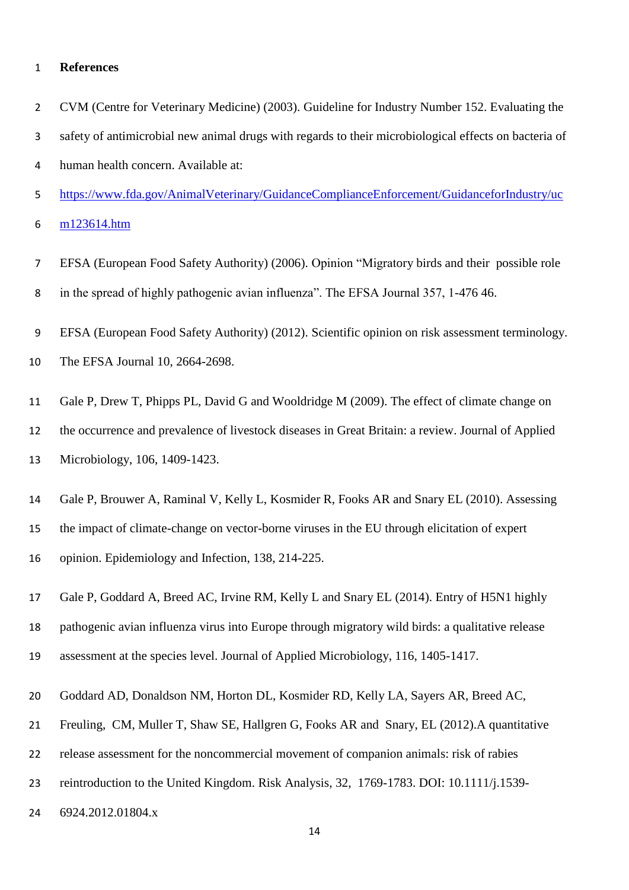## **References**

- CVM (Centre for Veterinary Medicine) (2003). Guideline for Industry Number 152. Evaluating the
- safety of antimicrobial new animal drugs with regards to their microbiological effects on bacteria of
- human health concern. Available at:
- [https://www.fda.gov/AnimalVeterinary/GuidanceComplianceEnforcement/GuidanceforIndustry/uc](https://www.fda.gov/AnimalVeterinary/GuidanceComplianceEnforcement/GuidanceforIndustry/ucm123614.htm)
- [m123614.htm](https://www.fda.gov/AnimalVeterinary/GuidanceComplianceEnforcement/GuidanceforIndustry/ucm123614.htm)
- EFSA (European Food Safety Authority) (2006). Opinion "Migratory birds and their possible role in the spread of highly pathogenic avian influenza". The EFSA Journal 357, 1-476 46.
- EFSA (European Food Safety Authority) (2012). Scientific opinion on risk assessment terminology.
- The EFSA Journal 10, 2664-2698.
- Gale P, Drew T, Phipps PL, David G and Wooldridge M (2009). The effect of climate change on
- the occurrence and prevalence of livestock diseases in Great Britain: a review. Journal of Applied Microbiology, 106, 1409-1423.
- Gale P, Brouwer A, Raminal V, Kelly L, Kosmider R, Fooks AR and Snary EL (2010). Assessing the impact of climate-change on vector-borne viruses in the EU through elicitation of expert opinion. Epidemiology and Infection, 138, 214-225.
- Gale P, Goddard A, Breed AC, Irvine RM, Kelly L and Snary EL (2014). Entry of H5N1 highly pathogenic avian influenza virus into Europe through migratory wild birds: a qualitative release assessment at the species level. Journal of Applied Microbiology, 116, 1405-1417.
- Goddard AD, Donaldson NM, Horton DL, Kosmider RD, Kelly LA, Sayers AR, Breed AC,
- Freuling, CM, Muller T, Shaw SE, Hallgren G, Fooks AR and Snary, EL (2012).A quantitative
- release assessment for the noncommercial movement of companion animals: risk of rabies
- reintroduction to the United Kingdom. Risk Analysis, 32, 1769-1783. DOI: [10.1111/j.1539-](http://dx.doi.org/%2010.1111/j.1539-6924.2012.01804.x)
- [6924.2012.01804.x](http://dx.doi.org/%2010.1111/j.1539-6924.2012.01804.x)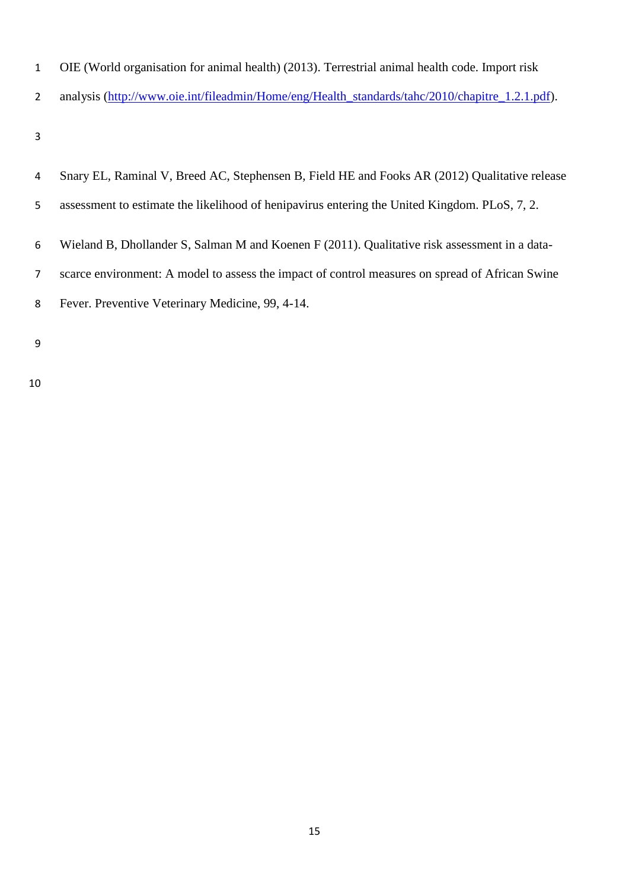- OIE (World organisation for animal health) (2013). Terrestrial animal health code. Import risk
- 2 analysis [\(http://www.oie.int/fileadmin/Home/eng/Health\\_standards/tahc/2010/chapitre\\_1.2.1.pdf\)](http://www.oie.int/fileadmin/Home/eng/Health_standards/tahc/2010/chapitre_1.2.1.pdf).

| $\overline{4}$ | Snary EL, Raminal V, Breed AC, Stephensen B, Field HE and Fooks AR (2012) Qualitative release   |
|----------------|-------------------------------------------------------------------------------------------------|
| 5              | assessment to estimate the likelihood of henipavirus entering the United Kingdom. PLoS, 7, 2.   |
| 6              | Wieland B, Dhollander S, Salman M and Koenen F (2011). Qualitative risk assessment in a data-   |
| 7              | scarce environment: A model to assess the impact of control measures on spread of African Swine |
| 8              | Fever. Preventive Veterinary Medicine, 99, 4-14.                                                |
| q              |                                                                                                 |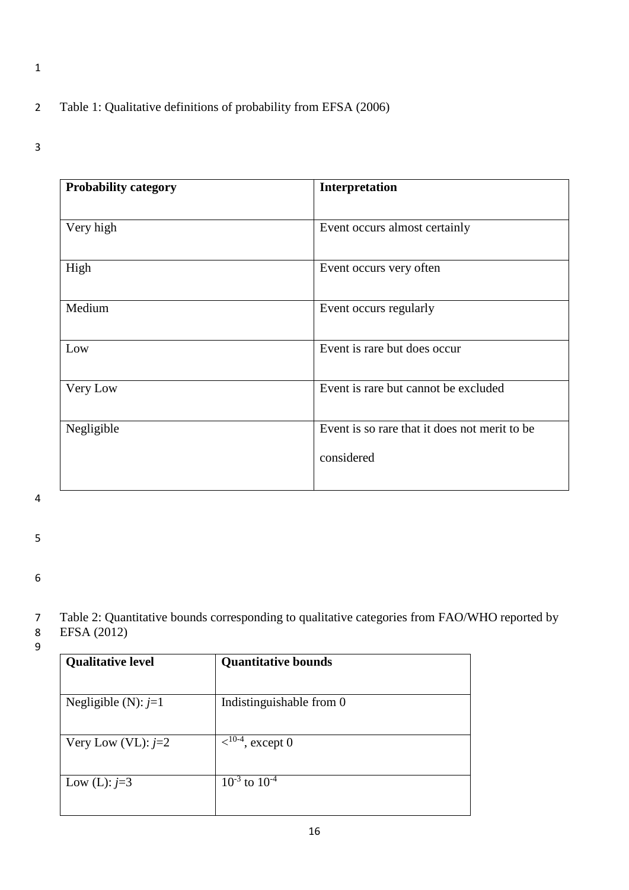- 2 Table 1: Qualitative definitions of probability from EFSA (2006)
- 3

| <b>Probability category</b> | Interpretation                                |  |  |
|-----------------------------|-----------------------------------------------|--|--|
|                             |                                               |  |  |
| Very high                   | Event occurs almost certainly                 |  |  |
|                             |                                               |  |  |
| High                        | Event occurs very often                       |  |  |
| Medium                      | Event occurs regularly                        |  |  |
|                             |                                               |  |  |
| Low                         | Event is rare but does occur                  |  |  |
|                             |                                               |  |  |
| Very Low                    | Event is rare but cannot be excluded          |  |  |
|                             | Event is so rare that it does not merit to be |  |  |
| Negligible                  |                                               |  |  |
|                             | considered                                    |  |  |
|                             |                                               |  |  |

- 5
- 6
- 
- 7 Table 2: Quantitative bounds corresponding to qualitative categories from FAO/WHO reported by EFSA (2012) EFSA (2012)
- 9

| <b>Qualitative level</b> | <b>Quantitative bounds</b>   |
|--------------------------|------------------------------|
| Negligible (N): $j=1$    | Indistinguishable from 0     |
| Very Low (VL): $j=2$     | $\langle 10^{-4}$ , except 0 |
| Low (L): $j=3$           | $10^{-3}$ to $10^{-4}$       |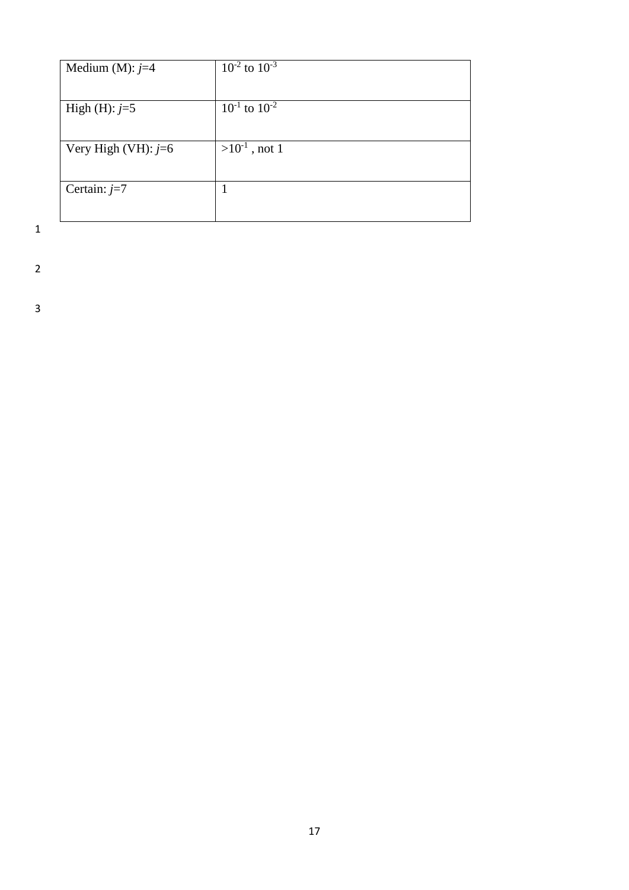| Medium (M): $j=4$     | $10^{-2}$ to $10^{-3}$ |
|-----------------------|------------------------|
|                       |                        |
| High $(H)$ : $j=5$    | $10^{-1}$ to $10^{-2}$ |
|                       |                        |
| Very High (VH): $j=6$ | $>10^{-1}$ , not 1     |
|                       |                        |
| Certain: $j=7$        |                        |
|                       |                        |
|                       |                        |

2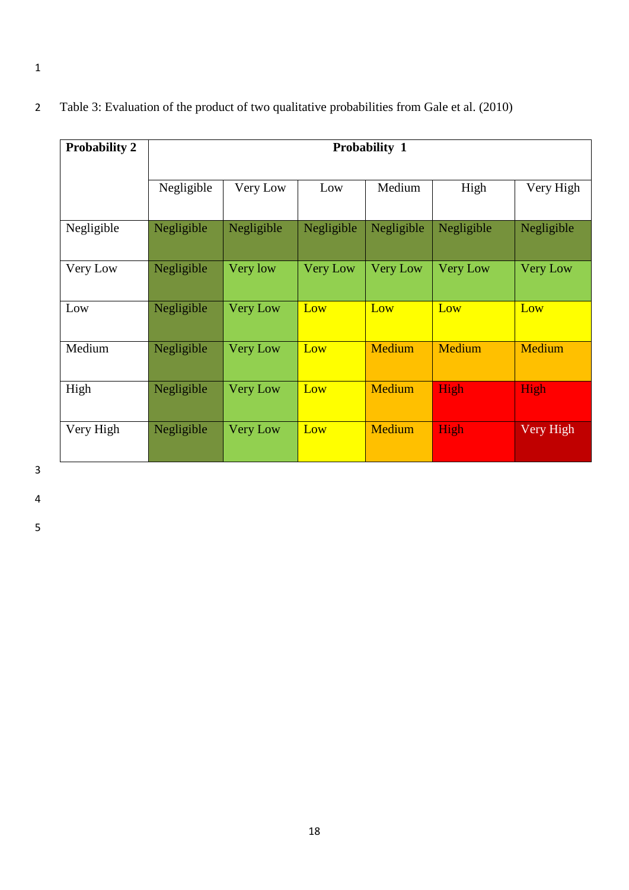| <b>Probability 2</b> | Probability 1 |                 |                 |                 |                 |                 |  |  |
|----------------------|---------------|-----------------|-----------------|-----------------|-----------------|-----------------|--|--|
|                      | Negligible    | Very Low        | Low             | Medium          | High            | Very High       |  |  |
| Negligible           | Negligible    | Negligible      | Negligible      | Negligible      | Negligible      | Negligible      |  |  |
| Very Low             | Negligible    | Very low        | <b>Very Low</b> | <b>Very Low</b> | <b>Very Low</b> | <b>Very Low</b> |  |  |
| Low                  | Negligible    | <b>Very Low</b> | Low             | Low             | Low             | Low             |  |  |
| Medium               | Negligible    | <b>Very Low</b> | Low             | Medium          | Medium          | Medium          |  |  |
| High                 | Negligible    | <b>Very Low</b> | Low             | Medium          | High            | High            |  |  |
| Very High            | Negligible    | <b>Very Low</b> | Low             | Medium          | High            | Very High       |  |  |

2 Table 3: Evaluation of the product of two qualitative probabilities from Gale et al. (2010)

3

4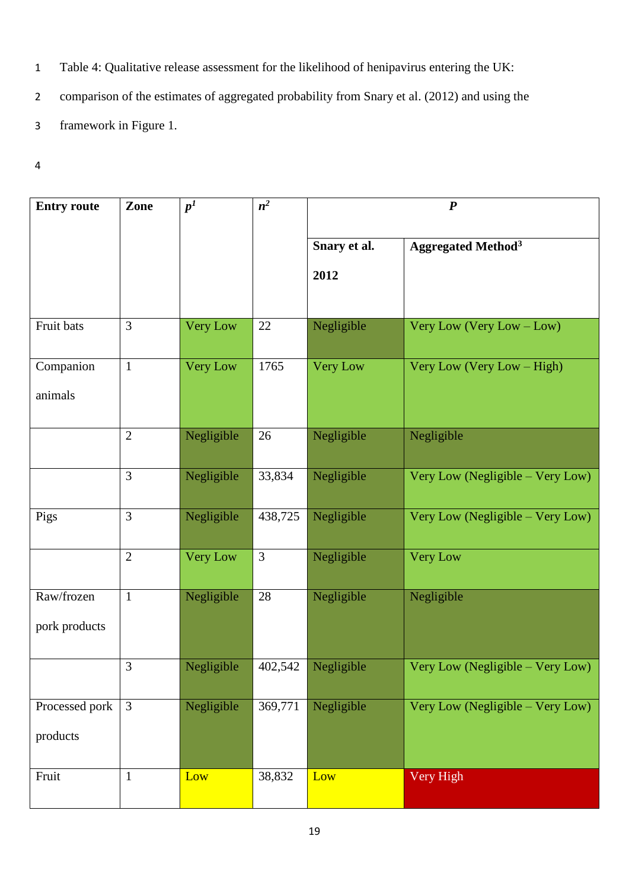- 1 Table 4: Qualitative release assessment for the likelihood of henipavirus entering the UK:
- 2 comparison of the estimates of aggregated probability from Snary et al. (2012) and using the
- 3 framework in Figure 1.
- 4

| <b>Entry route</b>          | Zone           | p <sup>1</sup>  | $\overline{n^2}$ | $\boldsymbol{P}$     |                                      |
|-----------------------------|----------------|-----------------|------------------|----------------------|--------------------------------------|
|                             |                |                 |                  | Snary et al.<br>2012 | <b>Aggregated Method<sup>3</sup></b> |
| Fruit bats                  | 3              | <b>Very Low</b> | 22               | Negligible           | Very Low (Very Low - Low)            |
| Companion<br>animals        | $\mathbf{1}$   | <b>Very Low</b> | 1765             | <b>Very Low</b>      | Very Low (Very Low - High)           |
|                             | $\overline{2}$ | Negligible      | 26               | Negligible           | Negligible                           |
|                             | 3              | Negligible      | 33,834           | Negligible           | Very Low (Negligible – Very Low)     |
| Pigs                        | 3              | Negligible      | 438,725          | Negligible           | Very Low (Negligible - Very Low)     |
|                             | $\mathbf{2}$   | <b>Very Low</b> | 3                | Negligible           | <b>Very Low</b>                      |
| Raw/frozen<br>pork products | $\mathbf{1}$   | Negligible      | $28\,$           | Negligible           | Negligible                           |
|                             | $\mathfrak{Z}$ | Negligible      | 402,542          | Negligible           | Very Low (Negligible – Very Low)     |
| Processed pork<br>products  | $\overline{3}$ | Negligible      | 369,771          | Negligible           | Very Low (Negligible – Very Low)     |
| Fruit                       | $\mathbf{1}$   | Low             | 38,832           | Low                  | Very High                            |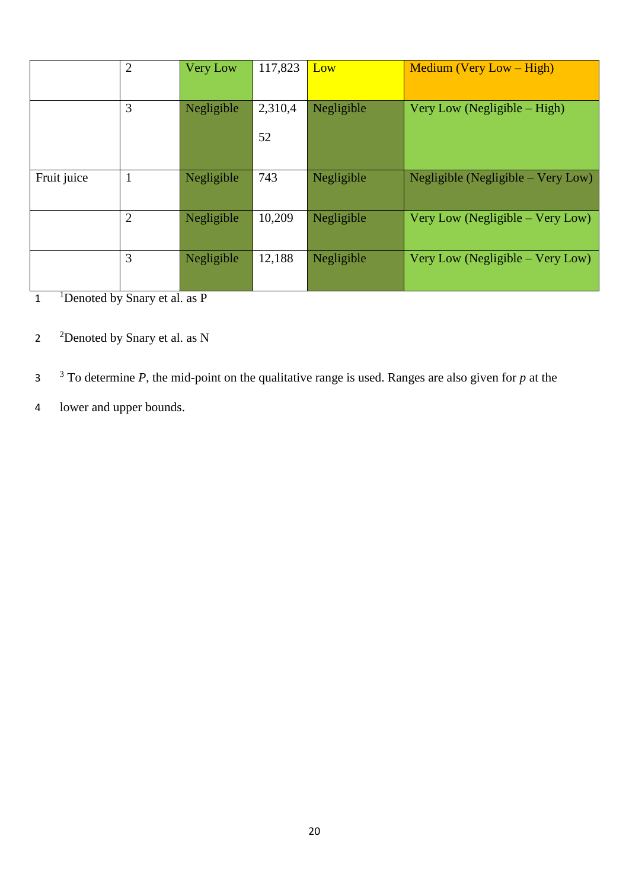|             | $\overline{2}$ | <b>Very Low</b> | 117,823       | Low        | Medium (Very Low – High)           |
|-------------|----------------|-----------------|---------------|------------|------------------------------------|
|             | 3              | Negligible      | 2,310,4<br>52 | Negligible | Very Low (Negligible – High)       |
| Fruit juice | $\mathbf{1}$   | Negligible      | 743           | Negligible | Negligible (Negligible – Very Low) |
|             | $\overline{2}$ | Negligible      | 10,209        | Negligible | Very Low (Negligible – Very Low)   |
|             | 3              | Negligible      | 12,188        | Negligible | Very Low (Negligible – Very Low)   |

1 <sup>1</sup>Denoted by Snary et al. as P

2 <sup>2</sup>Denoted by Snary et al. as N

 $3^3$  To determine *P*, the mid-point on the qualitative range is used. Ranges are also given for *p* at the

4 lower and upper bounds.